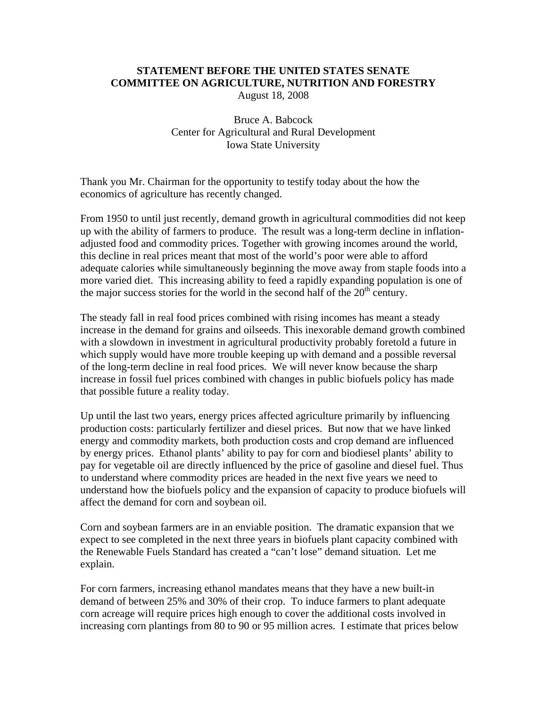## **STATEMENT BEFORE THE UNITED STATES SENATE COMMITTEE ON AGRICULTURE, NUTRITION AND FORESTRY**

August 18, 2008

Bruce A. Babcock Center for Agricultural and Rural Development Iowa State University

Thank you Mr. Chairman for the opportunity to testify today about the how the economics of agriculture has recently changed.

From 1950 to until just recently, demand growth in agricultural commodities did not keep up with the ability of farmers to produce. The result was a long-term decline in inflationadjusted food and commodity prices. Together with growing incomes around the world, this decline in real prices meant that most of the world's poor were able to afford adequate calories while simultaneously beginning the move away from staple foods into a more varied diet. This increasing ability to feed a rapidly expanding population is one of the major success stories for the world in the second half of the  $20<sup>th</sup>$  century.

The steady fall in real food prices combined with rising incomes has meant a steady increase in the demand for grains and oilseeds. This inexorable demand growth combined with a slowdown in investment in agricultural productivity probably foretold a future in which supply would have more trouble keeping up with demand and a possible reversal of the long-term decline in real food prices. We will never know because the sharp increase in fossil fuel prices combined with changes in public biofuels policy has made that possible future a reality today.

Up until the last two years, energy prices affected agriculture primarily by influencing production costs: particularly fertilizer and diesel prices. But now that we have linked energy and commodity markets, both production costs and crop demand are influenced by energy prices. Ethanol plants' ability to pay for corn and biodiesel plants' ability to pay for vegetable oil are directly influenced by the price of gasoline and diesel fuel. Thus to understand where commodity prices are headed in the next five years we need to understand how the biofuels policy and the expansion of capacity to produce biofuels will affect the demand for corn and soybean oil.

Corn and soybean farmers are in an enviable position. The dramatic expansion that we expect to see completed in the next three years in biofuels plant capacity combined with the Renewable Fuels Standard has created a "can't lose" demand situation. Let me explain.

For corn farmers, increasing ethanol mandates means that they have a new built-in demand of between 25% and 30% of their crop. To induce farmers to plant adequate corn acreage will require prices high enough to cover the additional costs involved in increasing corn plantings from 80 to 90 or 95 million acres. I estimate that prices below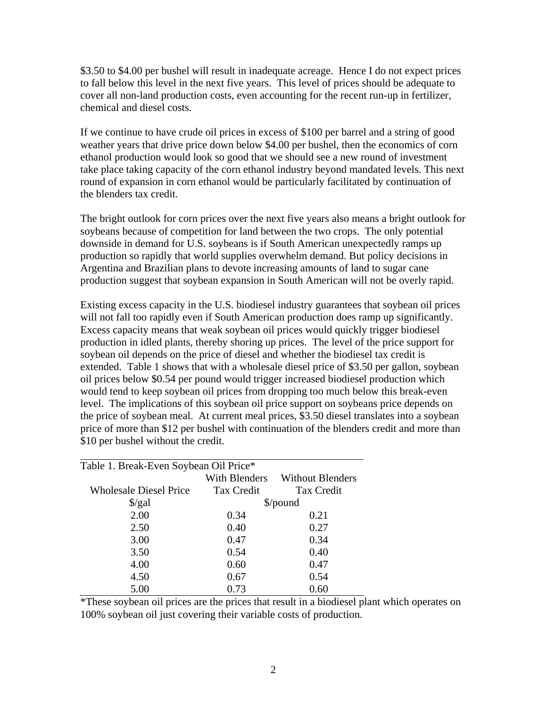\$3.50 to \$4.00 per bushel will result in inadequate acreage. Hence I do not expect prices to fall below this level in the next five years. This level of prices should be adequate to cover all non-land production costs, even accounting for the recent run-up in fertilizer, chemical and diesel costs.

If we continue to have crude oil prices in excess of \$100 per barrel and a string of good weather years that drive price down below \$4.00 per bushel, then the economics of corn ethanol production would look so good that we should see a new round of investment take place taking capacity of the corn ethanol industry beyond mandated levels. This next round of expansion in corn ethanol would be particularly facilitated by continuation of the blenders tax credit.

The bright outlook for corn prices over the next five years also means a bright outlook for soybeans because of competition for land between the two crops. The only potential downside in demand for U.S. soybeans is if South American unexpectedly ramps up production so rapidly that world supplies overwhelm demand. But policy decisions in Argentina and Brazilian plans to devote increasing amounts of land to sugar cane production suggest that soybean expansion in South American will not be overly rapid.

Existing excess capacity in the U.S. biodiesel industry guarantees that soybean oil prices will not fall too rapidly even if South American production does ramp up significantly. Excess capacity means that weak soybean oil prices would quickly trigger biodiesel production in idled plants, thereby shoring up prices. The level of the price support for soybean oil depends on the price of diesel and whether the biodiesel tax credit is extended. Table 1 shows that with a wholesale diesel price of \$3.50 per gallon, soybean oil prices below \$0.54 per pound would trigger increased biodiesel production which would tend to keep soybean oil prices from dropping too much below this break-even level. The implications of this soybean oil price support on soybeans price depends on the price of soybean meal. At current meal prices, \$3.50 diesel translates into a soybean price of more than \$12 per bushel with continuation of the blenders credit and more than \$10 per bushel without the credit.

| Table 1. Break-Even Soybean Oil Price* |                      |                         |  |
|----------------------------------------|----------------------|-------------------------|--|
|                                        | <b>With Blenders</b> | <b>Without Blenders</b> |  |
| <b>Wholesale Diesel Price</b>          | Tax Credit           | <b>Tax Credit</b>       |  |
| $\frac{\sqrt{2}}{2}$                   | $\gamma$ pound       |                         |  |
| 2.00                                   | 0.34                 | 0.21                    |  |
| 2.50                                   | 0.40                 | 0.27                    |  |
| 3.00                                   | 0.47                 | 0.34                    |  |
| 3.50                                   | 0.54                 | 0.40                    |  |
| 4.00                                   | 0.60                 | 0.47                    |  |
| 4.50                                   | 0.67                 | 0.54                    |  |
| 5.00                                   | 0.73                 | 0.60                    |  |

\*These soybean oil prices are the prices that result in a biodiesel plant which operates on 100% soybean oil just covering their variable costs of production.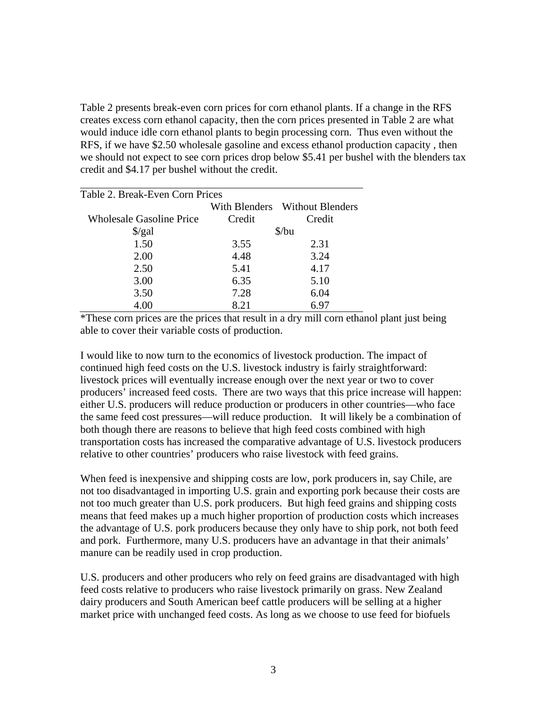Table 2 presents break-even corn prices for corn ethanol plants. If a change in the RFS creates excess corn ethanol capacity, then the corn prices presented in Table 2 are what would induce idle corn ethanol plants to begin processing corn. Thus even without the RFS, if we have \$2.50 wholesale gasoline and excess ethanol production capacity , then we should not expect to see corn prices drop below \$5.41 per bushel with the blenders tax credit and \$4.17 per bushel without the credit.

| Table 2. Break-Even Corn Prices |                             |                                |  |
|---------------------------------|-----------------------------|--------------------------------|--|
|                                 |                             | With Blenders Without Blenders |  |
| <b>Wholesale Gasoline Price</b> | Credit                      | Credit                         |  |
| $\frac{\sqrt{2}}{2}$            | $\frac{\text{S}}{\text{u}}$ |                                |  |
| 1.50                            | 3.55                        | 2.31                           |  |
| 2.00                            | 4.48                        | 3.24                           |  |
| 2.50                            | 5.41                        | 4.17                           |  |
| 3.00                            | 6.35                        | 5.10                           |  |
| 3.50                            | 7.28                        | 6.04                           |  |
| 4.00                            | 8.21                        | 6.97                           |  |
|                                 |                             |                                |  |

\*These corn prices are the prices that result in a dry mill corn ethanol plant just being able to cover their variable costs of production.

I would like to now turn to the economics of livestock production. The impact of continued high feed costs on the U.S. livestock industry is fairly straightforward: livestock prices will eventually increase enough over the next year or two to cover producers' increased feed costs. There are two ways that this price increase will happen: either U.S. producers will reduce production or producers in other countries—who face the same feed cost pressures—will reduce production. It will likely be a combination of both though there are reasons to believe that high feed costs combined with high transportation costs has increased the comparative advantage of U.S. livestock producers relative to other countries' producers who raise livestock with feed grains.

When feed is inexpensive and shipping costs are low, pork producers in, say Chile, are not too disadvantaged in importing U.S. grain and exporting pork because their costs are not too much greater than U.S. pork producers. But high feed grains and shipping costs means that feed makes up a much higher proportion of production costs which increases the advantage of U.S. pork producers because they only have to ship pork, not both feed and pork. Furthermore, many U.S. producers have an advantage in that their animals' manure can be readily used in crop production.

U.S. producers and other producers who rely on feed grains are disadvantaged with high feed costs relative to producers who raise livestock primarily on grass. New Zealand dairy producers and South American beef cattle producers will be selling at a higher market price with unchanged feed costs. As long as we choose to use feed for biofuels